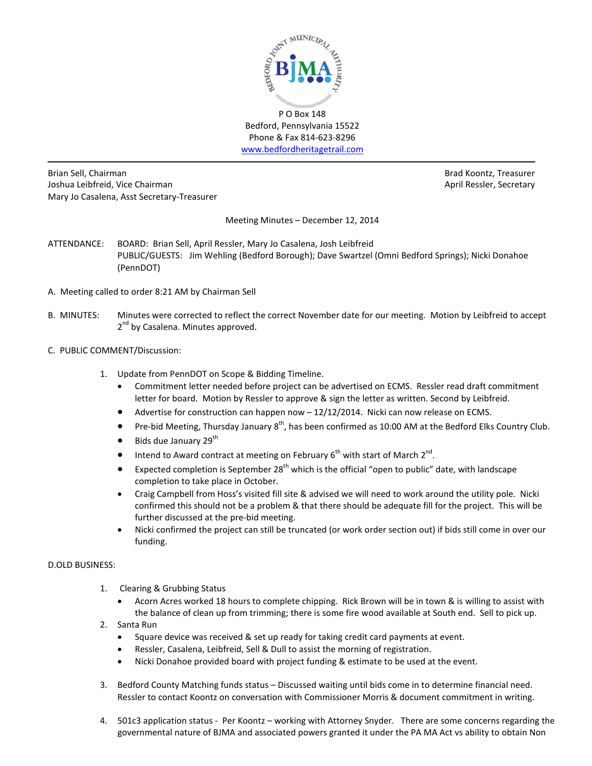

P O Box 148 Bedford, Pennsylvania 15522 Phone & Fax 814-623-8296 [www.bedfordheritagetrail.com](http://www.bedfordheritagetrail.com/)

Brian Sell, Chairman Brad Koontz, Treasurer Joshua Leibfreid, Vice Chairman **April Ressler, Secretary** April Ressler, Secretary Mary Jo Casalena, Asst Secretary-Treasurer

Meeting Minutes – December 12, 2014

- ATTENDANCE: BOARD: Brian Sell, April Ressler, Mary Jo Casalena, Josh Leibfreid PUBLIC/GUESTS: Jim Wehling (Bedford Borough); Dave Swartzel (Omni Bedford Springs); Nicki Donahoe (PennDOT)
- A. Meeting called to order 8:21 AM by Chairman Sell
- B. MINUTES: Minutes were corrected to reflect the correct November date for our meeting. Motion by Leibfreid to accept 2<sup>nd</sup> by Casalena. Minutes approved.
- C. PUBLIC COMMENT/Discussion:
	- 1. Update from PennDOT on Scope & Bidding Timeline.
		- Commitment letter needed before project can be advertised on ECMS. Ressler read draft commitment letter for board. Motion by Ressler to approve & sign the letter as written. Second by Leibfreid.
		- Advertise for construction can happen now 12/12/2014. Nicki can now release on ECMS.
		- Pre-bid Meeting, Thursday January  $8^{th}$ , has been confirmed as 10:00 AM at the Bedford Elks Country Club.
		- $\bullet$  Bids due January 29<sup>th</sup>
		- Intend to Award contract at meeting on February  $6<sup>th</sup>$  with start of March  $2<sup>nd</sup>$ .
		- Expected completion is September  $28^{th}$  which is the official "open to public" date, with landscape completion to take place in October.
		- Craig Campbell from Hoss's visited fill site & advised we will need to work around the utility pole. Nicki confirmed this should not be a problem & that there should be adequate fill for the project. This will be further discussed at the pre-bid meeting.
		- Nicki confirmed the project can still be truncated (or work order section out) if bids still come in over our funding.

# D.OLD BUSINESS:

- 1. Clearing & Grubbing Status
	- Acorn Acres worked 18 hours to complete chipping. Rick Brown will be in town & is willing to assist with the balance of clean up from trimming; there is some fire wood available at South end. Sell to pick up.
- 2. Santa Run
	- Square device was received & set up ready for taking credit card payments at event.
	- Ressler, Casalena, Leibfreid, Sell & Dull to assist the morning of registration.
	- Nicki Donahoe provided board with project funding & estimate to be used at the event.
- 3. Bedford County Matching funds status Discussed waiting until bids come in to determine financial need. Ressler to contact Koontz on conversation with Commissioner Morris & document commitment in writing.
- 4. 501c3 application status Per Koontz working with Attorney Snyder. There are some concerns regarding the governmental nature of BJMA and associated powers granted it under the PA MA Act vs ability to obtain Non